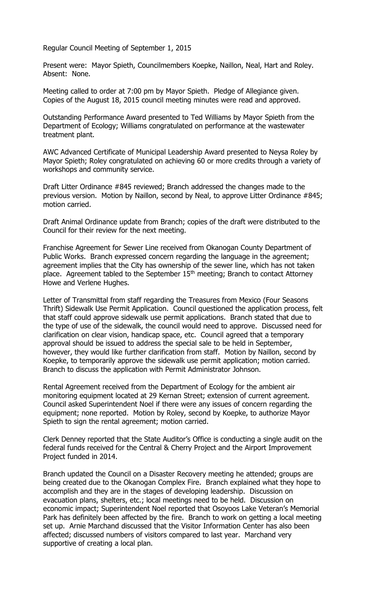Regular Council Meeting of September 1, 2015

Present were: Mayor Spieth, Councilmembers Koepke, Naillon, Neal, Hart and Roley. Absent: None.

Meeting called to order at 7:00 pm by Mayor Spieth. Pledge of Allegiance given. Copies of the August 18, 2015 council meeting minutes were read and approved.

Outstanding Performance Award presented to Ted Williams by Mayor Spieth from the Department of Ecology; Williams congratulated on performance at the wastewater treatment plant.

AWC Advanced Certificate of Municipal Leadership Award presented to Neysa Roley by Mayor Spieth; Roley congratulated on achieving 60 or more credits through a variety of workshops and community service.

Draft Litter Ordinance #845 reviewed; Branch addressed the changes made to the previous version. Motion by Naillon, second by Neal, to approve Litter Ordinance #845; motion carried.

Draft Animal Ordinance update from Branch; copies of the draft were distributed to the Council for their review for the next meeting.

Franchise Agreement for Sewer Line received from Okanogan County Department of Public Works. Branch expressed concern regarding the language in the agreement; agreement implies that the City has ownership of the sewer line, which has not taken place. Agreement tabled to the September 15<sup>th</sup> meeting; Branch to contact Attorney Howe and Verlene Hughes.

Letter of Transmittal from staff regarding the Treasures from Mexico (Four Seasons Thrift) Sidewalk Use Permit Application. Council questioned the application process, felt that staff could approve sidewalk use permit applications. Branch stated that due to the type of use of the sidewalk, the council would need to approve. Discussed need for clarification on clear vision, handicap space, etc. Council agreed that a temporary approval should be issued to address the special sale to be held in September, however, they would like further clarification from staff. Motion by Naillon, second by Koepke, to temporarily approve the sidewalk use permit application; motion carried. Branch to discuss the application with Permit Administrator Johnson.

Rental Agreement received from the Department of Ecology for the ambient air monitoring equipment located at 29 Kernan Street; extension of current agreement. Council asked Superintendent Noel if there were any issues of concern regarding the equipment; none reported. Motion by Roley, second by Koepke, to authorize Mayor Spieth to sign the rental agreement; motion carried.

Clerk Denney reported that the State Auditor's Office is conducting a single audit on the federal funds received for the Central & Cherry Project and the Airport Improvement Project funded in 2014.

Branch updated the Council on a Disaster Recovery meeting he attended; groups are being created due to the Okanogan Complex Fire. Branch explained what they hope to accomplish and they are in the stages of developing leadership. Discussion on evacuation plans, shelters, etc.; local meetings need to be held. Discussion on economic impact; Superintendent Noel reported that Osoyoos Lake Veteran's Memorial Park has definitely been affected by the fire. Branch to work on getting a local meeting set up. Arnie Marchand discussed that the Visitor Information Center has also been affected; discussed numbers of visitors compared to last year. Marchand very supportive of creating a local plan.